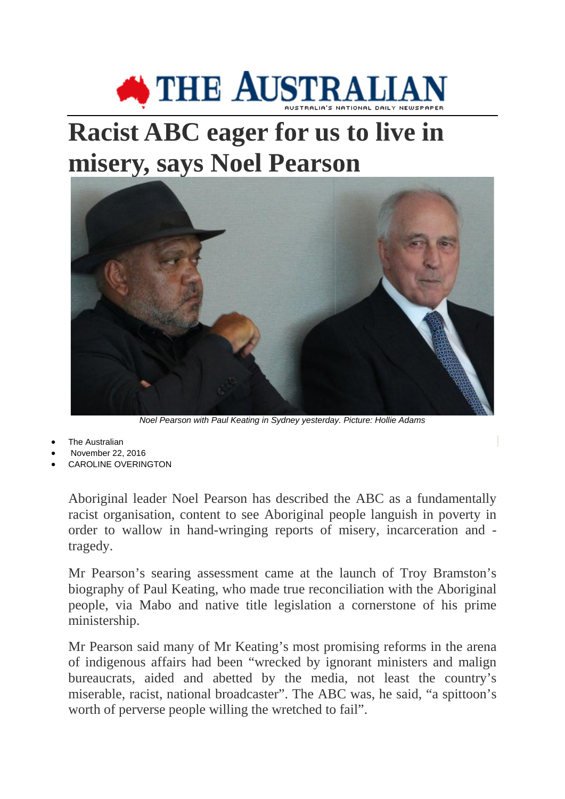## **SETTLE AUSTRALIA**

## **Racist ABC eager for us to live in misery, says Noel Pearson**



*Noel Pearson with Paul Keating in Sydney yesterday. Picture: Hollie Adams*

- **The Australian**
- November 22, 2016
- [CAROLINE OVERINGTON](http://www.theaustralian.com.au/author/Caroline+Overington)

Aboriginal leader Noel Pearson has described the ABC as a fundamentally racist organisation, content to see Aboriginal people languish in poverty in order to wallow in hand-wringing reports of misery, incarceration and tragedy.

Mr Pearson's searing assessment came at the launch of Troy Bramston's biography of Paul Keating, who made true reconciliation with the Aboriginal people, via Mabo and native title legislation a cornerstone of his prime ministership.

Mr Pearson said many of Mr Keating's most promising reforms in the arena of indigenous affairs had been "wrecked by ignorant ministers and malign bureaucrats, aided and abetted by the media, not least the country's miserable, racist, national broadcaster". The ABC was, he said, "a spittoon's worth of perverse people willing the wretched to fail".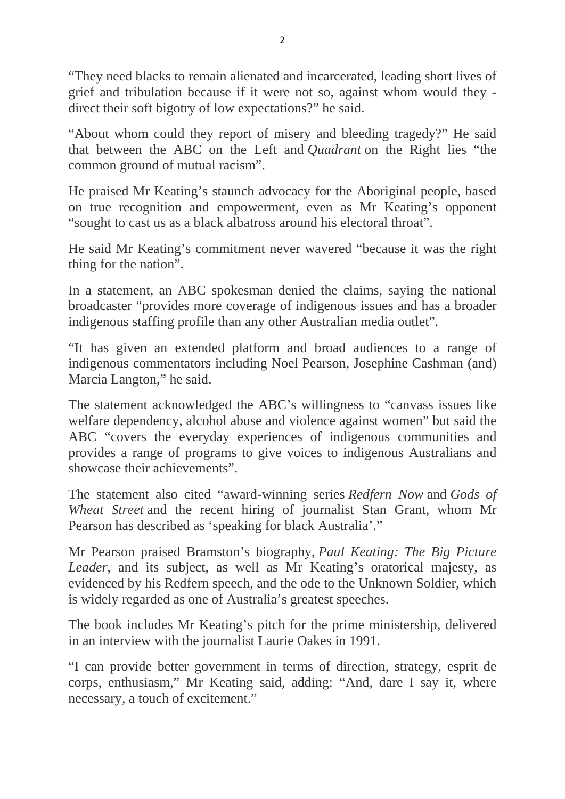"They need blacks to remain alienated and incarcerated, leading short lives of grief and tribulation because if it were not so, against whom would they direct their soft bigotry of low expectations?" he said.

"About whom could they report of misery and bleeding tragedy?" He said that between the ABC on the Left and *Quadrant* on the Right lies "the common ground of mutual racism".

He praised Mr Keating's staunch advocacy for the Aboriginal people, based on true recognition and empowerment, even as Mr Keating's opponent "sought to cast us as a black albatross around his electoral throat".

He said Mr Keating's commitment never wavered "because it was the right thing for the nation".

In a statement, an ABC spokesman denied the claims, saying the national broadcaster "provides more coverage of indigenous issues and has a broader indigenous staffing profile than any other Australian media outlet".

"It has given an extended platform and broad audiences to a range of indigenous commentators including Noel Pearson, Josephine Cashman (and) Marcia Langton," he said.

The statement acknowledged the ABC's willingness to "canvass issues like welfare dependency, alcohol abuse and violence against women" but said the ABC "covers the everyday experiences of indigenous communities and provides a range of programs to give voices to indigenous Australians and showcase their achievements".

The statement also cited "award-winning series *Redfern Now* and *Gods of Wheat Street* and the recent hiring of journalist Stan Grant, whom Mr Pearson has described as 'speaking for black Australia'."

Mr Pearson praised Bramston's biography, *Paul Keating: The Big Picture Leader*, and its subject, as well as Mr Keating's oratorical majesty, as evidenced by his Redfern speech, and the ode to the Unknown Soldier, which is widely regarded as one of Australia's greatest speeches.

The book includes Mr Keating's pitch for the prime ministership, delivered in an interview with the journalist Laurie Oakes in 1991.

"I can provide better government in terms of direction, strategy, esprit de corps, enthusiasm," Mr Keating said, adding: "And, dare I say it, where necessary, a touch of excitement."